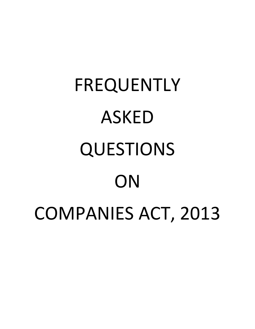# FREQUENTLY ASKED QUESTIONS **ON** COMPANIES ACT, 2013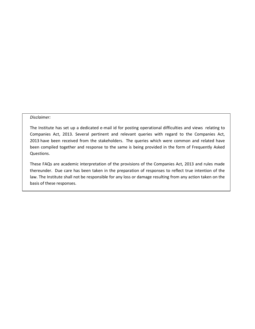#### *Disclaimer:*

The Institute has set up a dedicated e-mail id for posting operational difficulties and views relating to Companies Act, 2013. Several pertinent and relevant queries with regard to the Companies Act, 2013 have been received from the stakeholders. The queries which were common and related have been compiled together and response to the same is being provided in the form of Frequently Asked Questions.

These FAQs are academic interpretation of the provisions of the Companies Act, 2013 and rules made thereunder. Due care has been taken in the preparation of responses to reflect true intention of the law. The Institute shall not be responsible for any loss or damage resulting from any action taken on the basis of these responses.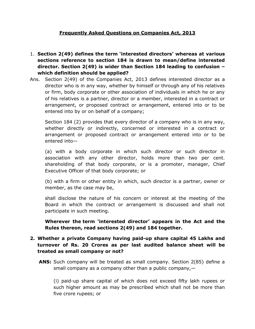#### **Frequently Asked Questions on Companies Act, 2013**

- 1. **Section 2(49) defines the term 'interested directors' whereas at various sections reference to section 184 is drawn to mean/define interested director. Section 2(49) is wider than Section 184 leading to confusion – which definition should be applied?**
- Ans. Section 2(49) of the Companies Act, 2013 defines interested director as a director who is in any way, whether by himself or through any of his relatives or firm, body corporate or other association of individuals in which he or any of his relatives is a partner, director or a member, interested in a contract or arrangement, or proposed contract or arrangement, entered into or to be entered into by or on behalf of a company;

Section 184 (2) provides that every director of a company who is in any way, whether directly or indirectly, concerned or interested in a contract or arrangement or proposed contract or arrangement entered into or to be entered into—

(a) with a body corporate in which such director or such director in association with any other director, holds more than two per cent. shareholding of that body corporate, or is a promoter, manager, Chief Executive Officer of that body corporate; or

(b) with a firm or other entity in which, such director is a partner, owner or member, as the case may be,

shall disclose the nature of his concern or interest at the meeting of the Board in which the contract or arrangement is discussed and shall not participate in such meeting.

**Wherever the term 'interested director' appears in the Act and the Rules thereon, read sections 2(49) and 184 together.**

#### **2. Whether a private Company having paid-up share capital 45 Lakhs and turnover of Rs. 20 Crores as per last audited balance sheet will be treated as small company or not?**

**ANS:** Such company will be treated as small company. Section 2(85) define a small company as a company other than a public company, $-$ 

(i) paid-up share capital of which does not exceed fifty lakh rupees or such higher amount as may be prescribed which shall not be more than five crore rupees; or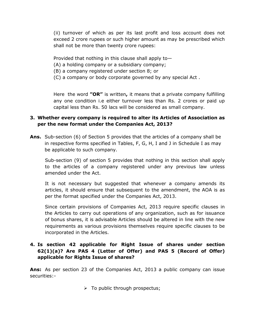(ii) turnover of which as per its last profit and loss account does not exceed 2 crore rupees or such higher amount as may be prescribed which shall not be more than twenty crore rupees:

Provided that nothing in this clause shall apply to—

- (A) a holding company or a subsidiary company;
- (B) a company registered under section 8; or
- (C) a company or body corporate governed by any special Act .

Here the word **"OR"** is written**,** it means that a private company fulfilling any one condition i.e either turnover less than Rs. 2 crores or paid up capital less than Rs. 50 lacs will be considered as small company.

## **3. Whether every company is required to alter its Articles of Association as per the new format under the Companies Act, 2013?**

**Ans.** Sub-section (6) of Section 5 provides that the articles of a company shall be in respective forms specified in Tables, F, G, H, I and J in Schedule I as may be applicable to such company.

Sub-section (9) of section 5 provides that nothing in this section shall apply to the articles of a company registered under any previous law unless amended under the Act.

It is not necessary but suggested that whenever a company amends its articles, it should ensure that subsequent to the amendment, the AOA is as per the format specified under the Companies Act, 2013.

Since certain provisions of Companies Act, 2013 require specific clauses in the Articles to carry out operations of any organization, such as for issuance of bonus shares, it is advisable Articles should be altered in line with the new requirements as various provisions themselves require specific clauses to be incorporated in the Articles.

# **4. Is section 42 applicable for Right Issue of shares under section 62(1)(a)? Are PAS 4 (Letter of Offer) and PAS 5 (Record of Offer) applicable for Rights Issue of shares?**

**Ans:** As per section 23 of the Companies Act, 2013 a public company can issue securities:-

 $\triangleright$  To public through prospectus;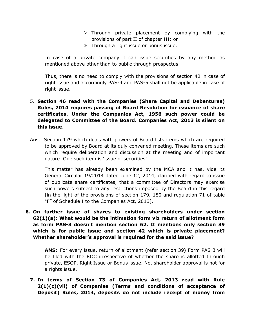- $\triangleright$  Through private placement by complying with the provisions of part II of chapter III; or
- $\triangleright$  Through a right issue or bonus issue.

In case of a private company it can issue securities by any method as mentioned above other than to public through prospectus.

Thus, there is no need to comply with the provisions of section 42 in case of right issue and accordingly PAS-4 and PAS-5 shall not be applicable in case of right issue.

# 5. **Section 46 read with the Companies (Share Capital and Debentures) Rules, 2014 requires passing of Board Resolution for issuance of share certificates. Under the Companies Act, 1956 such power could be delegated to Committee of the Board. Companies Act, 2013 is silent on this issue**.

Ans. Section 179 which deals with powers of Board lists items which are required to be approved by Board at its duly convened meeting. These items are such which require deliberation and discussion at the meeting and of important nature. One such item is 'issue of securities'.

This matter has already been examined by the MCA and it has, vide its General Circular 19/2014 dated June 12, 2014, clarified with regard to issue of duplicate share certificates, that a committee of Directors may exercise such powers subject to any restrictions imposed by the Board in this regard [in the light of the provisions of section 179, 180 and regulation 71 of table "F" of Schedule I to the Companies Act, 2013].

**6. On further issue of shares to existing shareholders under section 62(1)(a): What would be the intimation form viz return of allotment form as form PAS-3 doesn't mention section 62. It mentions only section 39 which is for public issue and section 42 which is private placement? Whether shareholder's approval is required for the said issue?** 

**ANS:** For every issue, return of allotment (refer section 39) Form PAS 3 will be filed with the ROC irrespective of whether the share is allotted through private, ESOP, Right Issue or Bonus issue. No, shareholder approval is not for a rights issue.

**7. In terms of Section 73 of Companies Act, 2013 read with Rule 2(1)(c)(vii) of Companies (Terms and conditions of acceptance of Deposit) Rules, 2014, deposits do not include receipt of money from**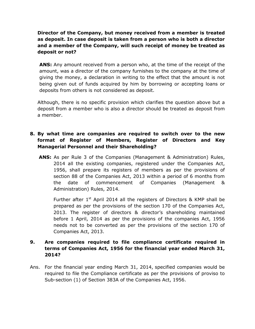# **Director of the Company, but money received from a member is treated as deposit. In case deposit is taken from a person who is both a director and a member of the Company, will such receipt of money be treated as deposit or not?**

**ANS:** Any amount received from a person who, at the time of the receipt of the amount, was a director of the company furnishes to the company at the time of giving the money, a declaration in writing to the effect that the amount is not being given out of funds acquired by him by borrowing or accepting loans or deposits from others is not considered as deposit.

Although, there is no specific provision which clarifies the question above but a deposit from a member who is also a director should be treated as deposit from a member.

#### **8. By what time are companies are required to switch over to the new format of Register of Members, Register of Directors and Key Managerial Personnel and their Shareholding?**

**ANS:** As per Rule 3 of the Companies (Management & Administration) Rules, 2014 all the existing companies, registered under the Companies Act, 1956, shall prepare its registers of members as per the provisions of section 88 of the Companies Act, 2013 within a period of 6 months from the date of commencement of Companies (Management & Administration) Rules, 2014.

Further after  $1<sup>st</sup>$  April 2014 all the registers of Directors & KMP shall be prepared as per the provisions of the section 170 of the Companies Act, 2013. The register of directors & director's shareholding maintained before 1 April, 2014 as per the provisions of the companies Act, 1956 needs not to be converted as per the provisions of the section 170 of Companies Act, 2013.

#### **9. Are companies required to file compliance certificate required in terms of Companies Act, 1956 for the financial year ended March 31, 2014?**

Ans. For the financial year ending March 31, 2014, specified companies would be required to file the Compliance certificate as per the provisions of proviso to Sub-section (1) of Section 383A of the Companies Act, 1956.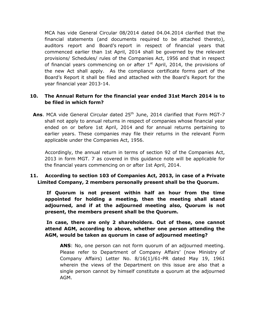MCA has vide General Circular 08/2014 dated 04.04.2014 clarified that the financial statements (and documents required to be attached thereto), auditors report and Board's report in respect of financial years that commenced earlier than 1st April, 2014 shall be governed by the relevant provisions/ Schedules/ rules of the Companies Act, 1956 and that in respect of financial years commencing on or after  $1<sup>st</sup>$  April, 2014, the provisions of the new Act shall apply. As the compliance certificate forms part of the Board's Report it shall be filed and attached with the Board's Report for the year financial year 2013-14.

#### **10. The Annual Return for the financial year ended 31st March 2014 is to be filed in which form?**

Ans. MCA vide General Circular dated 25<sup>th</sup> June, 2014 clarified that Form MGT-7 shall not apply to annual returns in respect of companies whose financial year ended on or before 1st April, 2014 and for annual returns pertaining to earlier years. These companies may file their returns in the relevant Form applicable under the Companies Act, 1956.

Accordingly, the annual return in terms of section 92 of the Companies Act, 2013 in form MGT. 7 as covered in this guidance note will be applicable for the financial years commencing on or after 1st April, 2014.

#### **11. According to section 103 of Companies Act, 2013, in case of a Private Limited Company, 2 members personally present shall be the Quorum.**

**If Quorum is not present within half an hour from the time appointed for holding a meeting, then the meeting shall stand adjourned, and if at the adjourned meeting also, Quorum is not present, the members present shall be the Quorum.**

**In case, there are only 2 shareholders. Out of these, one cannot attend AGM, according to above, whether one person attending the AGM, would be taken as quorum in case of adjourned meeting?**

**ANS**: No, one person can not form quorum of an adjourned meeting. Please refer to Department of Company Affairs' (now Ministry of Company Affairs) Letter No. 8/16(1)/61-PR dated May 19, 1961 wherein the views of the Department on this issue are also that a single person cannot by himself constitute a quorum at the adjourned AGM.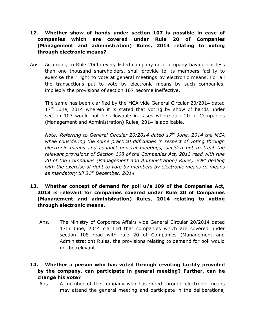- **12. Whether show of hands under section 107 is possible in case of companies which are covered under Rule 20 of Companies (Management and administration) Rules, 2014 relating to voting through electronic means?**
- Ans. According to Rule 20(1) every listed company or a company having not less than one thousand shareholders, shall provide to its members facility to exercise their right to vote at general meetings by electronic means. For all the transactions put to vote by electronic means by such companies, impliedly the provisions of section 107 become ineffective.

The same has been clarified by the MCA vide General Circular 20/2014 dated  $17<sup>th</sup>$  June, 2014 wherein it is stated that voting by show of hands under section 107 would not be allowable in cases where rule 20 of Companies (Management and Administration) Rules, 2014 is applicable.

*Note: Referring to General Circular 20/2014 dated 17th June, 2014 the MCA while considering the some practical difficulties in respect of voting through electronic means and conduct general meetings, decided not to treat the relevant provisions of Section 108 of the Companies Act, 2013 read with rule 20 of the Companies (Management and Administration) Rules, 2Ol4 dealing with the exercise of right to vote by members by electronic means (e-means as mandatory till 31st December, 2O14*

- **13. Whether concept of demand for poll u/s 109 of the Companies Act, 2013 is relevant for companies covered under Rule 20 of Companies (Management and administration) Rules, 2014 relating to voting through electronic means.**
	- Ans. The Ministry of Corporate Affairs vide General Circular 20/2014 dated 17th June, 2014 clarified that companies which are covered under section 108 read with rule 20 of Companies (Management and Administration) Rules, the provisions relating to demand for poll would not be relevant.

# **14. Whether a person who has voted through e-voting facility provided by the company, can participate in general meeting? Further, can he change his vote?**

Ans. A member of the company who has voted through electronic means may attend the general meeting and participate in the deliberations,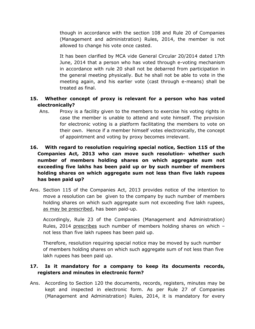though in accordance with the section 108 and Rule 20 of Companies (Management and administration) Rules, 2014, the member is not allowed to change his vote once casted.

It has been clarified by MCA vide General Circular 20/2014 dated 17th June, 2014 that a person who has voted through e-voting mechanism in accordance with rule 20 shall not be debarred from participation in the general meeting physically. But he shall not be able to vote in the meeting again, and his earlier vote (cast through e-means) shall be treated as final.

#### **15. Whether concept of proxy is relevant for a person who has voted electronically?**

Ans. Proxy is a facility given to the members to exercise his voting rights in case the member is unable to attend and vote himself. The provision for electronic voting is a platform facilitating the members to vote on their own. Hence if a member himself votes electronically, the concept of appointment and voting by proxy becomes irrelevant.

# **16. With regard to resolution requiring special notice, Section 115 of the Companies Act, 2013 who can move such resolution- whether such number of members holding shares on which aggregate sum not exceeding five lakhs has been paid up or by such number of members holding shares on which aggregate sum not less than five lakh rupees has been paid up?**

Ans. Section 115 of the Companies Act, 2013 provides notice of the intention to move a resolution can be given to the company by such number of members holding shares on which such aggregate sum not exceeding five lakh rupees, as may be prescribed, has been paid-up.

Accordingly, Rule 23 of the Companies (Management and Administration) Rules, 2014 prescribes such number of members holding shares on which not less than five lakh rupees has been paid up.

Therefore, resolution requiring special notice may be moved by such number of members holding shares on which such aggregate sum of not less than five lakh rupees has been paid up.

#### **17. Is it mandatory for a company to keep its documents records, registers and minutes in electronic form?**

Ans. According to Section 120 the documents, records, registers, minutes may be kept and inspected in electronic form. As per Rule 27 of Companies (Management and Administration) Rules, 2014, it is mandatory for every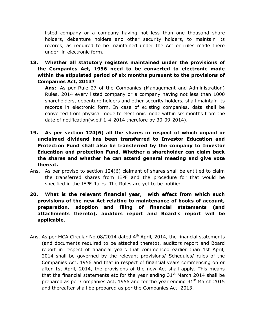listed company or a company having not less than one thousand share holders, debenture holders and other security holders, to maintain its records, as required to be maintained under the Act or rules made there under, in electronic form.

**18. Whether all statutory registers maintained under the provisions of the Companies Act, 1956 need to be converted to electronic mode within the stipulated period of six months pursuant to the provisions of Companies Act, 2013?**

**Ans:** As per Rule 27 of the Companies (Management and Administration) Rules, 2014 every listed company or a company having not less than 1000 shareholders, debenture holders and other security holders, shall maintain its records in electronic form. In case of existing companies, data shall be converted from physical mode to electronic mode within six months from the date of notification(w.e.f 1-4-2014 therefore by 30-09-2014).

- **19. As per section 124(6) all the shares in respect of which unpaid or unclaimed dividend has been transferred to Investor Education and Protection Fund shall also be transferred by the company to Investor Education and protection Fund. Whether a shareholder can claim back the shares and whether he can attend general meeting and give vote thereat.**
- Ans. As per proviso to section 124(6) claimant of shares shall be entitled to claim the transferred shares from IEPF and the procedure for that would be specified in the IEPF Rules. The Rules are yet to be notified.
- **20. What is the relevant financial year, with effect from which such provisions of the new Act relating to maintenance of books of account, preparation, adoption and filing of financial statements (and attachments thereto), auditors report and Board's report will be applicable.**
- Ans. As per MCA Circular No.08/2014 dated 4<sup>th</sup> April, 2014, the financial statements (and documents required to be attached thereto), auditors report and Board report in respect of financial years that commenced earlier than 1st April, 2014 shall be governed by the relevant provisions/ Schedules/ rules of the Companies Act, 1956 and that in respect of financial years commencing on or after 1st April, 2014, the provisions of the new Act shall apply. This means that the financial statements etc for the year ending  $31<sup>st</sup>$  March 2014 shall be prepared as per Companies Act, 1956 and for the year ending  $31<sup>st</sup>$  March 2015 and thereafter shall be prepared as per the Companies Act, 2013.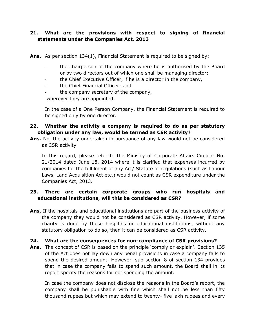#### **21. What are the provisions with respect to signing of financial statements under the Companies Act, 2013**

**Ans.** As per section 134(1), Financial Statement is required to be signed by:

- the chairperson of the company where he is authorised by the Board or by two directors out of which one shall be managing director;
- the Chief Executive Officer, if he is a director in the company,
- the Chief Financial Officer; and
- the company secretary of the company,

wherever they are appointed,

In the case of a One Person Company, the Financial Statement is required to be signed only by one director.

#### **22. Whether the activity a company is required to do as per statutory obligation under any law, would be termed as CSR activity?**

**Ans.** No, the activity undertaken in pursuance of any law would not be considered as CSR activity.

In this regard, please refer to the Ministry of Corporate Affairs Circular No. 21/2014 dated June 18, 2014 where it is clarified that expenses incurred by companies for the fulfilment of any Act/ Statute of regulations (such as Labour Laws, Land Acquisition Act etc.) would not count as CSR expenditure under the Companies Act, 2013.

# **23. There are certain corporate groups who run hospitals and educational institutions, will this be considered as CSR?**

**Ans.** If the hospitals and educational institutions are part of the business activity of the company they would not be considered as CSR activity. However, if some charity is done by these hospitals or educational institutions, without any statutory obligation to do so, then it can be considered as CSR activity.

#### **24. What are the consequences for non-compliance of CSR provisions?**

**Ans.** The concept of CSR is based on the principle 'comply or explain'. Section 135 of the Act does not lay down any penal provisions in case a company fails to spend the desired amount. However, sub-section 8 of section 134 provides that in case the company fails to spend such amount, the Board shall in its report specify the reasons for not spending the amount.

In case the company does not disclose the reasons in the Board's report, the company shall be punishable with fine which shall not be less than fifty thousand rupees but which may extend to twenty- five lakh rupees and every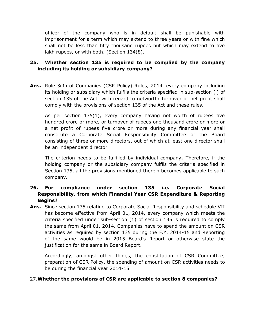officer of the company who is in default shall be punishable with imprisonment for a term which may extend to three years or with fine which shall not be less than fifty thousand rupees but which may extend to five lakh rupees, or with both. (Section 134(8).

#### **25. Whether section 135 is required to be complied by the company including its holding or subsidiary company?**

**Ans.** Rule 3(1) of Companies (CSR Policy) Rules, 2014, every company including its holding or subsidiary which fulfils the criteria specified in sub-section (l) of section 135 of the Act with regard to networth/ turnover or net profit shall comply with the provisions of section 135 of the Act and these rules.

As per section 135(1), every company having net worth of rupees five hundred crore or more, or turnover of rupees one thousand crore or more or a net profit of rupees five crore or more during any financial year shall constitute a Corporate Social Responsibility Committee of the Board consisting of three or more directors, out of which at least one director shall be an independent director.

The criterion needs to be fulfilled by individual company**.** Therefore, if the holding company or the subsidiary company fulfils the criteria specified in Section 135, all the provisions mentioned therein becomes applicable to such company.

# **26. For compliance under section 135 i.e. Corporate Social Responsibility, from which Financial Year CSR Expenditure & Reporting Begins?**

**Ans.** Since section 135 relating to Corporate Social Responsibility and schedule VII has become effective from April 01, 2014, every company which meets the criteria specified under sub-section (1) of section 135 is required to comply the same from April 01, 2014. Companies have to spend the amount on CSR activities as required by section 135 during the F.Y. 2014-15 and Reporting of the same would be in 2015 Board's Report or otherwise state the justification for the same in Board Report.

Accordingly, amongst other things, the constitution of CSR Committee, preparation of CSR Policy, the spending of amount on CSR activities needs to be during the financial year 2014-15.

#### 27.**Whether the provisions of CSR are applicable to section 8 companies?**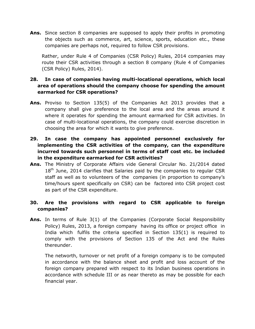**Ans.** Since section 8 companies are supposed to apply their profits in promoting the objects such as commerce, art, science, sports, education etc., these companies are perhaps not, required to follow CSR provisions.

Rather, under Rule 4 of Companies (CSR Policy) Rules, 2014 companies may route their CSR activities through a section 8 company (Rule 4 of Companies (CSR Policy) Rules, 2014).

#### **28. In case of companies having multi-locational operations, which local area of operations should the company choose for spending the amount earmarked for CSR operations?**

- **Ans.** Proviso to Section 135(5) of the Companies Act 2013 provides that a company shall give preference to the local area and the areas around it where it operates for spending the amount earmarked for CSR activities. In case of multi-locational operations, the company could exercise discretion in choosing the area for which it wants to give preference.
- **29. In case the company has appointed personnel exclusively for implementing the CSR activities of the company, can the expenditure incurred towards such personnel in terms of staff cost etc. be included in the expenditure earmarked for CSR activities?**
- **Ans.** The Ministry of Corporate Affairs vide General Circular No. 21/2014 dated  $18<sup>th</sup>$  June, 2014 clarifies that Salaries paid by the companies to regular CSR staff as well as to volunteers of the companies (in proportion to company's time/hours spent specifically on CSR) can be factored into CSR project cost as part of the CSR expenditure.

#### **30. Are the provisions with regard to CSR applicable to foreign companies?**

**Ans.** In terms of Rule 3(1) of the Companies (Corporate Social Responsibility Policy) Rules, 2013, a foreign company having its office or project office in India which fulfils the criteria specified in Section 135(1) is required to comply with the provisions of Section 135 of the Act and the Rules thereunder.

The networth, turnover or net profit of a foreign company is to be computed in accordance with the balance sheet and profit and loss account of the foreign company prepared with respect to its Indian business operations in accordance with schedule III or as near thereto as may be possible for each financial year.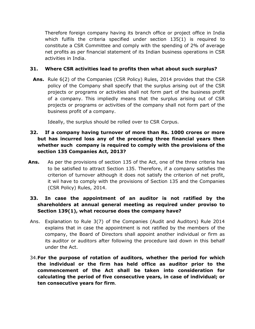Therefore foreign company having its branch office or project office in India which fulfils the criteria specified under section 135(1) is required to constitute a CSR Committee and comply with the spending of 2% of average net profits as per financial statement of its Indian business operations in CSR activities in India.

#### **31. Where CSR activities lead to profits then what about such surplus?**

**Ans.** Rule 6(2) of the Companies (CSR Policy) Rules, 2014 provides that the CSR policy of the Company shall specify that the surplus arising out of the CSR projects or programs or activities shall not form part of the business profit of a company. This impliedly means that the surplus arising out of CSR projects or programs or activities of the company shall not form part of the business profit of a company.

Ideally, the surplus should be rolled over to CSR Corpus.

# **32. If a company having turnover of more than Rs. 1000 crores or more but has incurred loss any of the preceding three financial years then whether such company is required to comply with the provisions of the section 135 Companies Act, 2013?**

**Ans.** As per the provisions of section 135 of the Act, one of the three criteria has to be satisfied to attract Section 135. Therefore, if a company satisfies the criterion of turnover although it does not satisfy the criterion of net profit, it wil have to comply with the provisions of Section 135 and the Companies (CSR Policy) Rules, 2014.

# **33. In case the appointment of an auditor is not ratified by the shareholders at annual general meeting as required under proviso to Section 139(1), what recourse does the company have?**

- Ans. Explanation to Rule 3(7) of the Companies (Audit and Auditors) Rule 2014 explains that in case the appointment is not ratified by the members of the company, the Board of Directors shall appoint another individual or firm as its auditor or auditors after following the procedure laid down in this behalf under the Act.
- 34.**For the purpose of rotation of auditors, whether the period for which the individual or the firm has held office as auditor prior to the commencement of the Act shall be taken into consideration for calculating the period of five consecutive years, in case of individual; or ten consecutive years for firm**.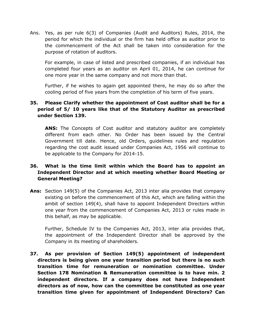Ans. Yes, as per rule 6(3) of Companies (Audit and Auditors) Rules, 2014, the period for which the individual or the firm has held office as auditor prior to the commencement of the Act shall be taken into consideration for the purpose of rotation of auditors.

For example, in case of listed and prescribed companies, if an individual has completed four years as an auditor on April 01, 2014, he can continue for one more year in the same company and not more than that.

Further, if he wishes to again get appointed there, he may do so after the cooling period of five years from the completion of his term of five years.

#### **35. Please Clarify whether the appointment of Cost auditor shall be for a period of 5/ 10 years like that of the Statutory Auditor as prescribed under Section 139.**

**ANS:** The Concepts of Cost auditor and statutory auditor are completely different from each other. No Order has been issued by the Central Government till date. Hence, old Orders, guidelines rules and regulation regarding the cost audit issued under Companies Act, 1956 will continue to be applicable to the Company for 2014-15.

#### **36. What is the time limit within which the Board has to appoint an Independent Director and at which meeting whether Board Meeting or General Meeting?**

**Ans:** Section 149(5) of the Companies Act, 2013 inter alia provides that company existing on before the commencement of this Act, which are falling within the ambit of section 149(4), shall have to appoint Independent Directors within one year from the commencement of Companies Act, 2013 or rules made in this behalf, as may be applicable.

Further, Schedule IV to the Companies Act, 2013, inter alia provides that, the appointment of the Independent Director shall be approved by the Company in its meeting of shareholders.

**37. As per provision of Section 149(5) appointment of independent directors is being given one year transition period but there is no such transition time for remuneration or nomination committee. Under Section 178 Nomination & Remuneration committee is to have min. 2 independent directors. If a company does not have Independent directors as of now, how can the committee be constituted as one year transition time given for appointment of Independent Directors? Can**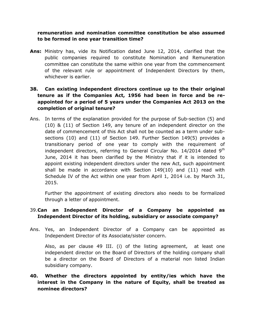#### **remuneration and nomination committee constitution be also assumed to be formed in one year transition time?**

**Ans:** Ministry has, vide its Notification dated June 12, 2014, clarified that the public companies required to constitute Nomination and Remuneration committee can constitute the same within one year from the commencement of the relevant rule or appointment of Independent Directors by them, whichever is earlier.

# **38. Can existing independent directors continue up to the their original tenure as if the Companies Act, 1956 had been in force and be reappointed for a period of 5 years under the Companies Act 2013 on the completion of original tenure?**

Ans. In terms of the explanation provided for the purpose of Sub-section (5) and (10) & (11) of Section 149, any tenure of an independent director on the date of commencement of this Act shall not be counted as a term under subsections (10) and (11) of Section 149. Further Section 149(5) provides a transitionary period of one year to comply with the requirement of independent directors, referring to General Circular No.  $14/2014$  dated  $9<sup>th</sup>$ June, 2014 it has been clarified by the Ministry that if it is intended to appoint existing independent directors under the new Act, such appointment shall be made in accordance with Section 149(10) and (11) read with Schedule IV of the Act within one year from April 1, 2014 i.e. by March 31, 2015.

Further the appointment of existing directors also needs to be formalized through a letter of appointment.

#### 39.**Can an Independent Director of a Company be appointed as Independent Director of its holding, subsidiary or associate company?**

Ans. Yes, an Independent Director of a Company can be appointed as Independent Director of its Associate/sister concern.

Also, as per clause 49 III. (i) of the listing agreement, at least one independent director on the Board of Directors of the holding company shall be a director on the Board of Directors of a material non listed Indian subsidiary company.

# **40. Whether the directors appointed by entity/ies which have the interest in the Company in the nature of Equity, shall be treated as nominee directors?**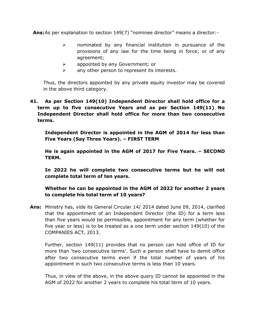**Ans:**As per explanation to section 149(7) "nominee director" means a director:-

- $\triangleright$  nominated by any financial institution in pursuance of the provisions of any law for the time being in force; or of any agreement;
- $\triangleright$  appointed by any Government; or
- $\triangleright$  any other person to represent its interests.

Thus, the directors appointed by any private equity investor may be covered in the above third category.

**41. As per Section 149(10) Independent Director shall hold office for a term up to five consecutive Years and as per Section 149(11) No Independent Director shall hold office for more than two consecutive terms.**

**Independent Director is appointed in the AGM of 2014 for less than Five Years (Say Three Years). – FIRST TERM**

**He is again appointed in the AGM of 2017 for Five Years. – SECOND TERM.**

**In 2022 he will complete two consecutive terms but he will not complete total term of ten years.**

**Whether he can be appointed in the AGM of 2022 for another 2 years to complete his total term of 10 years?**

**Ans:** Ministry has, vide its General Circular 14/ 2014 dated June 09, 2014, clarified that the appointment of an Independent Director (the ID) for a term less than five years would be permissible, appointment for any term (whether for five year or less) is to be treated as a one term under section 149(10) of the COMPANIES ACT, 2013.

Further, section 149(11) provides that no person can hold office of ID for more than 'two consecutive terms'. Such a person shall have to demit office after two consecutive terms even if the total number of years of his appointment in such two consecutive terms is less than 10 years.

Thus, in view of the above, in the above query ID cannot be appointed in the AGM of 2022 for another 2 years to complete his total term of 10 years.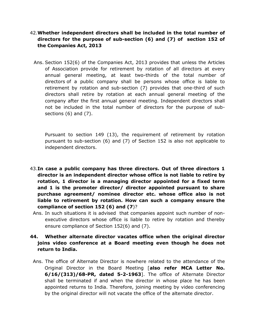#### 42.**Whether independent directors shall be included in the total number of directors for the purpose of sub-section (6) and (7) of section 152 of the Companies Act, 2013**

Ans. Section 152(6) of the Companies Act, 2013 provides that unless the Articles of Association provide for retirement by rotation of all directors at every annual general meeting, at least two-thirds of the total number of directors of a public company shall be persons whose office is liable to retirement by rotation and sub-section (7) provides that one-third of such directors shall retire by rotation at each annual general meeting of the company after the first annual general meeting. Independent directors shall not be included in the total number of directors for the purpose of subsections (6) and (7).

Pursuant to section 149 (13), the requirement of retirement by rotation pursuant to sub-section (6) and (7) of Section 152 is also not applicable to independent directors.

- 43.**In case a public company has three directors. Out of three directors 1 director is an independent director whose office is not liable to retire by rotation, 1 director is a managing director appointed for a fixed term and 1 is the promoter director/ director appointed pursuant to share purchase agreement/ nominee director etc. whose office also is not liable to retirement by rotation. How can such a company ensure the compliance of section 152 (6) and (7**)?
- Ans. In such situations it is advised that companies appoint such number of nonexecutive directors whose office is liable to retire by rotation and thereby ensure compliance of Section 152(6) and (7).

#### **44. Whether alternate director vacates office when the original director joins video conference at a Board meeting even though he does not return to India.**

Ans. The office of Alternate Director is nowhere related to the attendance of the Original Director in the Board Meeting [**also refer MCA Letter No. 6/16/(313)/68-PR, dated 5-2-1963**]. The office of Alternate Director shall be terminated if and when the director in whose place he has been appointed returns to India. Therefore, joining meeting by video conferencing by the original director will not vacate the office of the alternate director.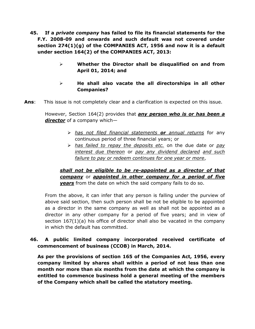- **45. If a** *private company* **has failed to file its financial statements for the F.Y. 2008-09 and onwards and such default was not covered under section 274(1)(g) of the COMPANIES ACT, 1956 and now it is a default under section 164(2) of the COMPANIES ACT, 2013:**
	- **Whether the Director shall be disqualified on and from April 01, 2014; and**
	- **He shall also vacate the all directorships in all other Companies?**
- **Ans**: This issue is not completely clear and a clarification is expected on this issue.

However, Section 164(2) provides that *any person who is or has been a director* of a company which—

- *has not filed financial statements or annual returns* for any continuous period of three financial years; or
- *has failed to repay the deposits etc.* on the due date or *pay interest due thereon* or *pay any dividend declared and such failure to pay or redeem continues for one year or more*,

*shall not be eligible to be re-appointed as a director of that company* or *appointed in other company for a period of five years* from the date on which the said company fails to do so.

From the above, it can infer that any person is falling under the purview of above said section, then such person shall be not be eligible to be appointed as a director in the same company as well as shall not be appointed as a director in any other company for a period of five years; and in view of section 167(1)(a) his office of director shall also be vacated in the company in which the default has committed.

#### **46. A public limited company incorporated received certificate of commencement of business (CCOB) in March, 2014.**

**As per the provisions of section 165 of the Companies Act, 1956, every company limited by shares shall within a period of not less than one month nor more than six months from the date at which the company is entitled to commence business hold a general meeting of the members of the Company which shall be called the statutory meeting.**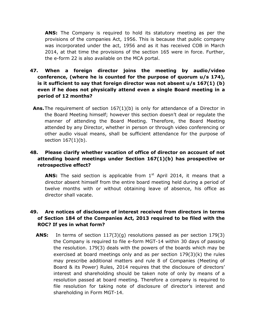**ANS:** The Company is required to hold its statutory meeting as per the provisions of the companies Act, 1956. This is because that public company was incorporated under the act, 1956 and as it has received COB in March 2014, at that time the provisions of the section 165 were in force. Further, the e-form 22 is also available on the MCA portal.

- **47. When a foreign director joins the meeting by audio/video conference, (where he is counted for the purpose of quorum u/s 174), is it sufficient to say that foreign director was not absent u/s 167(1) (b) even if he does not physically attend even a single Board meeting in a period of 12 months?**
	- **Ans.** The requirement of section 167(1)(b) is only for attendance of a Director in the Board Meeting himself; however this section doesn't deal or regulate the manner of attending the Board Meeting. Therefore, the Board Meeting attended by any Director, whether in person or through video conferencing or other audio visual means, shall be sufficient attendance for the purpose of section 167(1)(b).

# **48. Please clarify whether vacation of office of director on account of not attending board meetings under Section 167(1)(b) has prospective or retrospective effect?**

**ANS:** The said section is applicable from 1<sup>st</sup> April 2014, it means that a director absent himself from the entire board meeting held during a period of twelve months with or without obtaining leave of absence, his office as director shall vacate.

# **49. Are notices of disclosure of interest received from directors in terms of Section 184 of the Companies Act, 2013 required to be filed with the ROC? If yes in what form?**

**ANS:** In terms of section 117(3)(g) resolutions passed as per section 179(3) the Company is required to file e-form MGT-14 within 30 days of passing the resolution. 179(3) deals with the powers of the boards which may be exercised at board meetings only and as per section  $179(3)(k)$  the rules may prescribe additional matters and rule 8 of Companies (Meeting of Board & its Power) Rules, 2014 requires that the disclosure of directors' interest and shareholding should be taken note of only by means of a resolution passed at board meeting. Therefore a company is required to file resolution for taking note of disclosure of director's interest and shareholding in Form MGT-14.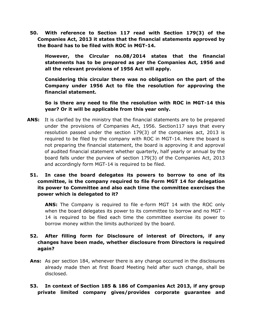**50. With reference to Section 117 read with Section 179(3) of the Companies Act, 2013 it states that the financial statements approved by the Board has to be filed with ROC in MGT-14.**

**However, the Circular no.08/2014 states that the financial statements has to be prepared as per the Companies Act, 1956 and all the relevant provisions of 1956 Act will apply.**

**Considering this circular there was no obligation on the part of the Company under 1956 Act to file the resolution for approving the financial statement.**

**So is there any need to file the resolution with ROC in MGT-14 this year? Or it will be applicable from this year only.**

- **ANS:** It is clarified by the ministry that the financial statements are to be prepared under the provisions of Companies Act, 1956. Section117 says that every resolution passed under the section 179(3) of the companies act, 2013 is required to be filed by the company with ROC in MGT-14. Here the board is not preparing the financial statement, the board is approving it and approval of audited financial statement whether quarterly, half yearly or annual by the board falls under the purview of section 179(3) of the Companies Act, 2013 and accordingly form MGT-14 is required to be filed.
	- **51. In case the board delegates its powers to borrow to one of its committee, is the company required to file Form MGT 14 for delegation its power to Committee and also each time the committee exercises the power which is delegated to it?**

**ANS:** The Company is required to file e-form MGT 14 with the ROC only when the board delegates its power to its committee to borrow and no MGT - 14 is required to be filed each time the committee exercise its power to borrow money within the limits authorized by the board.

#### **52. After filling form for Disclosure of interest of Directors, if any changes have been made, whether disclosure from Directors is required again?**

- **Ans:** As per section 184, whenever there is any change occurred in the disclosures already made then at first Board Meeting held after such change, shall be disclosed.
- **53. In context of Section 185 & 186 of Companies Act 2013, if any group private limited company gives/provides corporate guarantee and**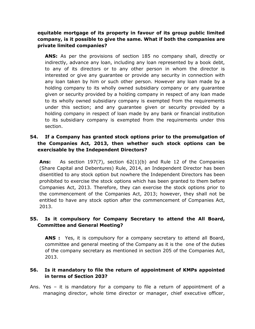#### **equitable mortgage of its property in favour of its group public limited company, is it possible to give the same. What if both the companies are private limited companies?**

**ANS:** As per the provisions of section 185 no company shall, directly or indirectly, advance any loan, including any loan represented by a book debt, to any of its directors or to any other person in whom the director is interested or give any guarantee or provide any security in connection with any loan taken by him or such other person. However any loan made by a holding company to its wholly owned subsidiary company or any guarantee given or security provided by a holding company in respect of any loan made to its wholly owned subsidiary company is exempted from the requirements under this section; and any guarantee given or security provided by a holding company in respect of loan made by any bank or financial institution to its subsidiary company is exempted from the requirements under this section.

#### **54. If a Company has granted stock options prior to the promulgation of the Companies Act, 2013, then whether such stock options can be exercisable by the Independent Directors?**

**Ans:** As section 197(7), section 62(1)(b) and Rule 12 of the Companies (Share Capital and Debentures) Rule, 2014, an Independent Director has been disentitled to any stock option but nowhere the Independent Directors has been prohibited to exercise the stock options which has been granted to them before Companies Act, 2013. Therefore, they can exercise the stock options prior to the commencement of the Companies Act, 2013; however, they shall not be entitled to have any stock option after the commencement of Companies Act, 2013.

#### **55. Is it compulsory for Company Secretary to attend the All Board, Committee and General Meeting?**

**ANS :** Yes, it is compulsory for a company secretary to attend all Board, committee and general meeting of the Company as it is the one of the duties of the company secretary as mentioned in section 205 of the Companies Act, 2013.

#### **56. Is it mandatory to file the return of appointment of KMPs appointed in terms of Section 203?**

Ans. Yes – it is mandatory for a company to file a return of appointment of a managing director, whole time director or manager, chief executive officer,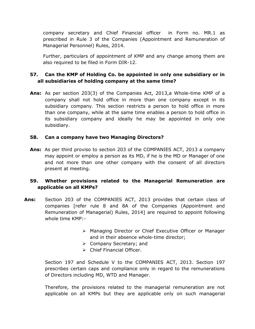company secretary and Chief Financial officer in Form no. MR.1 as prescribed in Rule 3 of the Companies (Appointment and Remuneration of Managerial Personnel) Rules, 2014.

Further, particulars of appointment of KMP and any change among them are also required to be filed in Form DIR-12.

#### **57. Can the KMP of Holding Co. be appointed in only one subsidiary or in all subsidiaries of holding company at the same time?**

**Ans:** As per section 203(3) of the Companies Act, 2013,a Whole-time KMP of a company shall not hold office in more than one company except in its subsidiary company. This section restricts a person to hold office in more than one company, while at the same time enables a person to hold office in its subsidiary company and ideally he may be appointed in only one subsidiary.

#### **58. Can a company have two Managing Directors?**

**Ans:** As per third proviso to section 203 of the COMPANIES ACT, 2013 a company may appoint or employ a person as its MD, if he is the MD or Manager of one and not more than one other company with the consent of all directors present at meeting.

# **59. Whether provisions related to the Managerial Remuneration are applicable on all KMPs?**

- **Ans:** Section 203 of the COMPANIES ACT, 2013 provides that certain class of companies [refer rule 8 and 8A of the Companies (Appointment and Remuneration of Managerial) Rules, 2014] are required to appoint following whole time KMP:-
	- Managing Director or Chief Executive Officer or Manager and in their absence whole-time director;
	- $\triangleright$  Company Secretary; and
	- > Chief Financial Officer.

Section 197 and Schedule V to the COMPANIES ACT, 2013. Section 197 prescribes certain caps and compliance only in regard to the remunerations of Directors including MD, WTD and Manager.

Therefore, the provisions related to the managerial remuneration are not applicable on all KMPs but they are applicable only on such managerial